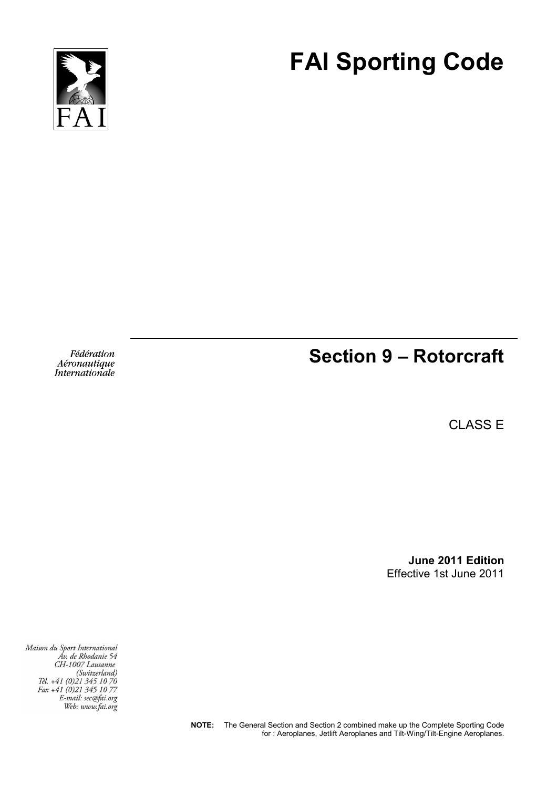



Fédération Aéronautique *Internationale* 

# **Section 9 – Rotorcraft**

CLASS E

**June 2011 Edition**  Effective 1st June 2011

Maison du Sport International Áv. de Rhodanie 54 CH-1007 Lausanne CH-100/ Lausanne<br>(Switzerland)<br>Tél. +41 (0)21 345 10 70<br>Fax +41 (0)21 345 10 77 E-mail: sec@fai.org Web: www.fai.org

> **NOTE:** The General Section and Section 2 combined make up the Complete Sporting Code for : Aeroplanes, Jetlift Aeroplanes and Tilt-Wing/Tilt-Engine Aeroplanes.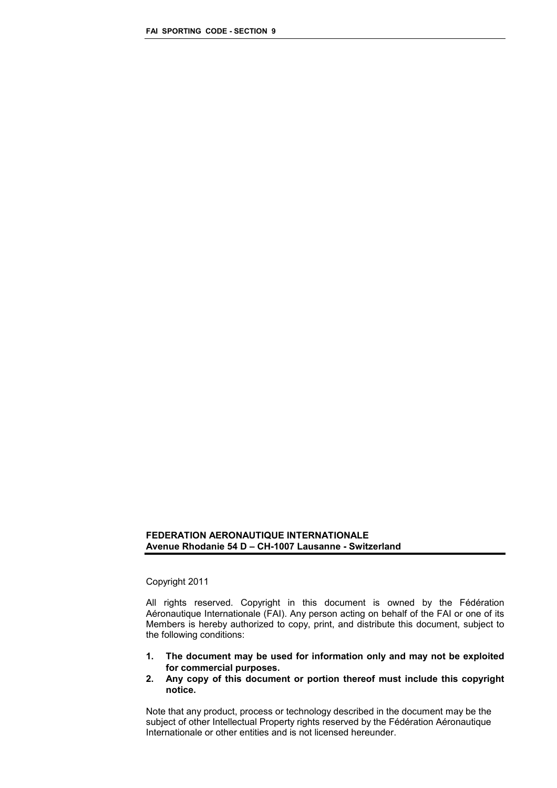#### **FEDERATION AERONAUTIQUE INTERNATIONALE Avenue Rhodanie 54 D – CH-1007 Lausanne - Switzerland**

## Copyright 2011

All rights reserved. Copyright in this document is owned by the Fédération Aéronautique Internationale (FAI). Any person acting on behalf of the FAI or one of its Members is hereby authorized to copy, print, and distribute this document, subject to the following conditions:

- **1. The document may be used for information only and may not be exploited for commercial purposes.**
- **2. Any copy of this document or portion thereof must include this copyright notice.**

Note that any product, process or technology described in the document may be the subject of other Intellectual Property rights reserved by the Fédération Aéronautique Internationale or other entities and is not licensed hereunder.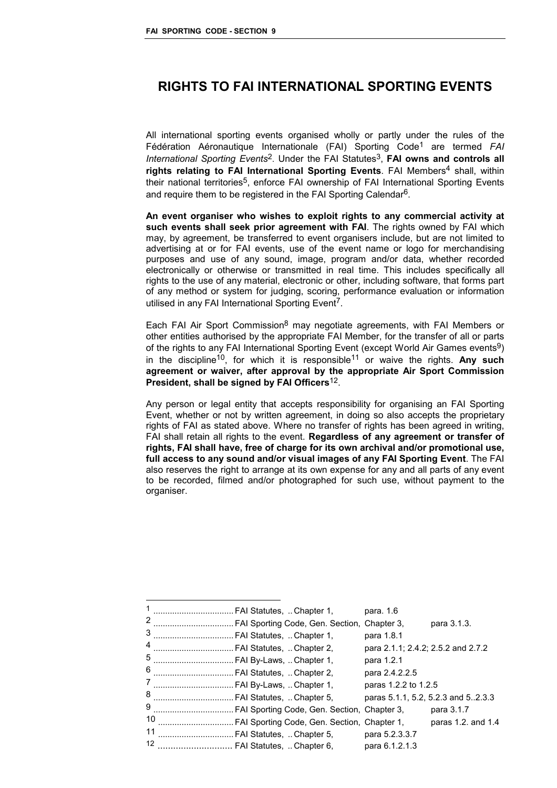# **RIGHTS TO FAI INTERNATIONAL SPORTING EVENTS**

All international sporting events organised wholly or partly under the rules of the Fédération Aéronautique Internationale (FAI) Sporting Code1 are termed *FAI International Sporting Events<sup>2</sup>*. Under the FAI Statutes<sup>3</sup>, FAI owns and controls all rights relating to FAI International Sporting Events. FAI Members<sup>4</sup> shall, within their national territories<sup>5</sup>, enforce FAI ownership of FAI International Sporting Events and require them to be registered in the FAI Sporting Calendar6.

**An event organiser who wishes to exploit rights to any commercial activity at such events shall seek prior agreement with FAI**. The rights owned by FAI which may, by agreement, be transferred to event organisers include, but are not limited to advertising at or for FAI events, use of the event name or logo for merchandising purposes and use of any sound, image, program and/or data, whether recorded electronically or otherwise or transmitted in real time. This includes specifically all rights to the use of any material, electronic or other, including software, that forms part of any method or system for judging, scoring, performance evaluation or information utilised in any FAI International Sporting Event<sup>7</sup>.

Each FAI Air Sport Commission<sup>8</sup> may negotiate agreements, with FAI Members or other entities authorised by the appropriate FAI Member, for the transfer of all or parts of the rights to any FAI International Sporting Event (except World Air Games events<sup>9</sup>) in the discipline<sup>10</sup>, for which it is responsible<sup>11</sup> or waive the rights. Any such **agreement or waiver, after approval by the appropriate Air Sport Commission President, shall be signed by FAI Officers**12.

Any person or legal entity that accepts responsibility for organising an FAI Sporting Event, whether or not by written agreement, in doing so also accepts the proprietary rights of FAI as stated above. Where no transfer of rights has been agreed in writing, FAI shall retain all rights to the event. **Regardless of any agreement or transfer of rights, FAI shall have, free of charge for its own archival and/or promotional use, full access to any sound and/or visual images of any FAI Sporting Event**. The FAI also reserves the right to arrange at its own expense for any and all parts of any event to be recorded, filmed and/or photographed for such use, without payment to the organiser.

| 1  | . FAI Statutes, …Chapter 1,    |                                               | para. 1.6                          |                    |
|----|--------------------------------|-----------------------------------------------|------------------------------------|--------------------|
| 2  |                                | . FAI Sporting Code, Gen. Section, Chapter 3, |                                    | para 3.1.3.        |
| 3  | . FAI Statutes,  Chapter 1,    |                                               | para 1.8.1                         |                    |
| 4  | . FAI Statutes,  Chapter 2,    |                                               | para 2.1.1; 2.4.2; 2.5.2 and 2.7.2 |                    |
| 5  | FAI By-Laws,  Chapter 1,       |                                               | para 1.2.1                         |                    |
| 6  | FAI Statutes,  Chapter 2,      |                                               | para 2.4.2.2.5                     |                    |
| 7  | . FAI By-Laws,  Chapter 1,<br> |                                               | paras 1.2.2 to 1.2.5               |                    |
| 8  | . FAI Statutes,  Chapter 5,    |                                               | paras 5.1.1, 5.2, 5.2.3 and 52.3.3 |                    |
| 9  |                                | . FAI Sporting Code, Gen. Section, Chapter 3, |                                    | para 3.1.7         |
| 10 |                                | FAI Sporting Code, Gen. Section, Chapter 1,   |                                    | paras 1.2. and 1.4 |
| 11 |                                | FAI Statutes, Chapter 5,                      | para 5.2.3.3.7                     |                    |
| 12 | . FAI Statutes, Chapter 6,     |                                               | para 6.1.2.1.3                     |                    |
|    |                                |                                               |                                    |                    |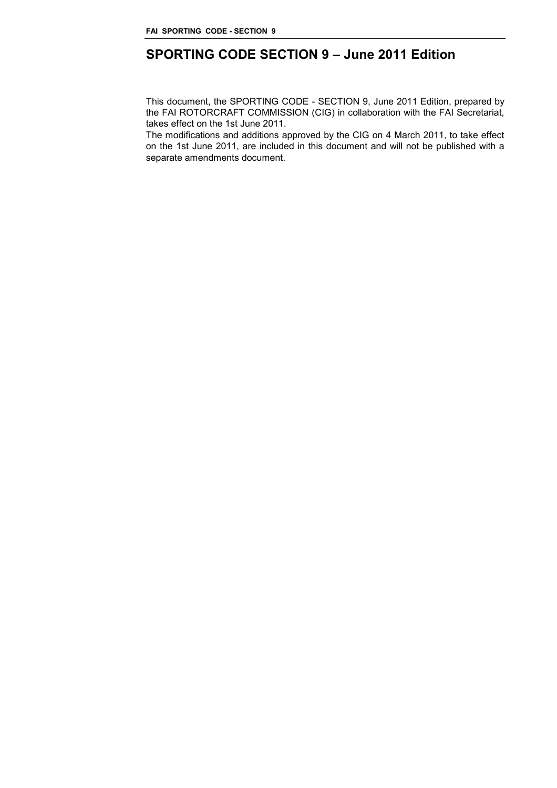# **SPORTING CODE SECTION 9 – June 2011 Edition**

This document, the SPORTING CODE - SECTION 9, June 2011 Edition, prepared by the FAI ROTORCRAFT COMMISSION (CIG) in collaboration with the FAI Secretariat, takes effect on the 1st June 2011.

The modifications and additions approved by the CIG on 4 March 2011, to take effect on the 1st June 2011, are included in this document and will not be published with a separate amendments document.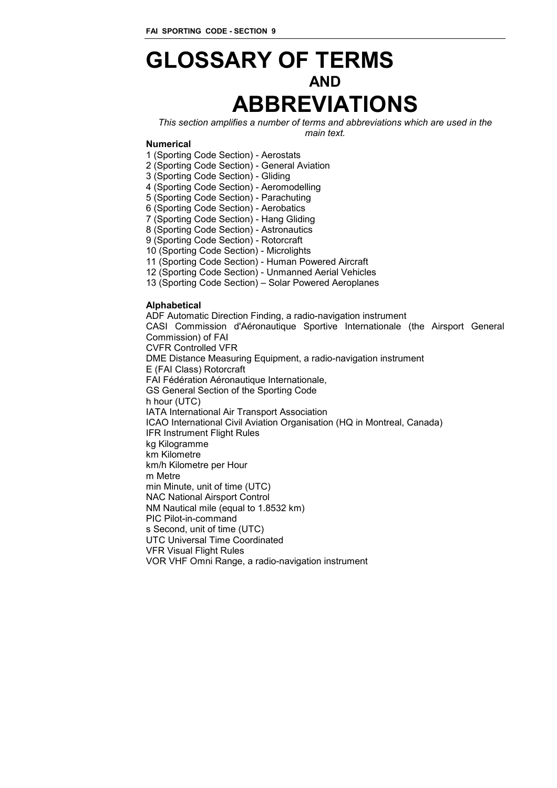# **GLOSSARY OF TERMS AND ABBREVIATIONS**

*This section amplifies a number of terms and abbreviations which are used in the main text.* 

#### **Numerical**

1 (Sporting Code Section) - Aerostats

2 (Sporting Code Section) - General Aviation

3 (Sporting Code Section) - Gliding

4 (Sporting Code Section) - Aeromodelling

5 (Sporting Code Section) - Parachuting

6 (Sporting Code Section) - Aerobatics

7 (Sporting Code Section) - Hang Gliding

8 (Sporting Code Section) - Astronautics

9 (Sporting Code Section) - Rotorcraft

10 (Sporting Code Section) - Microlights

11 (Sporting Code Section) - Human Powered Aircraft

12 (Sporting Code Section) - Unmanned Aerial Vehicles

13 (Sporting Code Section) – Solar Powered Aeroplanes

#### **Alphabetical**

ADF Automatic Direction Finding, a radio-navigation instrument CASI Commission d'Aéronautique Sportive Internationale (the Airsport General Commission) of FAI CVFR Controlled VFR DME Distance Measuring Equipment, a radio-navigation instrument E (FAI Class) Rotorcraft FAI Fédération Aéronautique Internationale, GS General Section of the Sporting Code h hour (UTC) IATA International Air Transport Association ICAO International Civil Aviation Organisation (HQ in Montreal, Canada) IFR Instrument Flight Rules kg Kilogramme km Kilometre km/h Kilometre per Hour m Metre min Minute, unit of time (UTC) NAC National Airsport Control NM Nautical mile (equal to 1.8532 km) PIC Pilot-in-command s Second, unit of time (UTC) UTC Universal Time Coordinated VFR Visual Flight Rules VOR VHF Omni Range, a radio-navigation instrument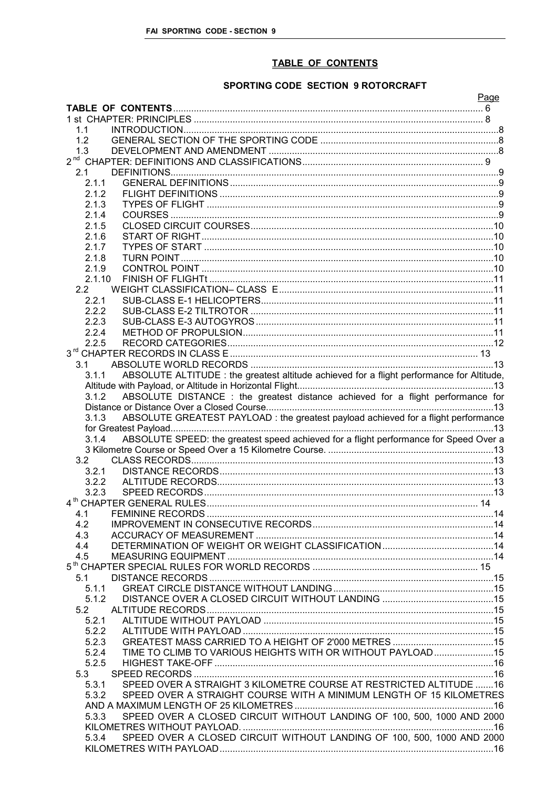# TABLE OF CONTENTS

# SPORTING CODE SECTION 9 ROTORCRAFT

|                                                                                                    | Page |
|----------------------------------------------------------------------------------------------------|------|
|                                                                                                    |      |
|                                                                                                    |      |
| 1.1                                                                                                |      |
| 1.2                                                                                                |      |
| 1.3                                                                                                |      |
|                                                                                                    |      |
| 2.1                                                                                                |      |
| 2.1.1                                                                                              |      |
| 212                                                                                                |      |
| 2.1.3                                                                                              |      |
| 2.1.4                                                                                              |      |
| 2.1.5                                                                                              |      |
| 2.1.6                                                                                              |      |
| 2.1.7                                                                                              |      |
| 2.1.8                                                                                              |      |
| 2.1.9                                                                                              |      |
| 2.1.10                                                                                             |      |
| 2.2                                                                                                |      |
| 2.2.1                                                                                              |      |
| 2.2.2                                                                                              |      |
| 2.2.3                                                                                              |      |
| 2.2.4                                                                                              |      |
| 2.2.5                                                                                              |      |
|                                                                                                    |      |
| 3.1                                                                                                |      |
| ABSOLUTE ALTITUDE : the greatest altitude achieved for a flight performance for Altitude,<br>3.1.1 |      |
|                                                                                                    |      |
| ABSOLUTE DISTANCE : the greatest distance achieved for a flight performance for<br>3.1.2           |      |
|                                                                                                    |      |
| ABSOLUTE GREATEST PAYLOAD : the greatest payload achieved for a flight performance<br>3.1.3        |      |
|                                                                                                    |      |
| ABSOLUTE SPEED: the greatest speed achieved for a flight performance for Speed Over a<br>3.1.4     |      |
|                                                                                                    |      |
| 3.2                                                                                                |      |
| 3.2.1                                                                                              |      |
| 3.2.2                                                                                              |      |
| 3.2.3                                                                                              |      |
|                                                                                                    |      |
| 4.1                                                                                                |      |
| 4.2                                                                                                |      |
| 4.3                                                                                                |      |
| 4.4                                                                                                |      |
| 4.5                                                                                                |      |
|                                                                                                    |      |
| 5.1                                                                                                |      |
| 5.1.1                                                                                              |      |
| 5.1.2                                                                                              |      |
| 5.2                                                                                                |      |
| 5.2.1                                                                                              |      |
| 5.2.2                                                                                              |      |
| 5.2.3                                                                                              |      |
| TIME TO CLIMB TO VARIOUS HEIGHTS WITH OR WITHOUT PAYLOAD 15<br>5.2.4                               |      |
| 5.2.5                                                                                              |      |
| 5.3                                                                                                |      |
| SPEED OVER A STRAIGHT 3 KILOMETRE COURSE AT RESTRICTED ALTITUDE 16<br>5.3.1                        |      |
| SPEED OVER A STRAIGHT COURSE WITH A MINIMUM LENGTH OF 15 KILOMETRES<br>5.3.2                       |      |
|                                                                                                    |      |
| SPEED OVER A CLOSED CIRCUIT WITHOUT LANDING OF 100, 500, 1000 AND 2000<br>5.3.3                    |      |
|                                                                                                    |      |
| SPEED OVER A CLOSED CIRCUIT WITHOUT LANDING OF 100, 500, 1000 AND 2000<br>5.3.4                    |      |
|                                                                                                    |      |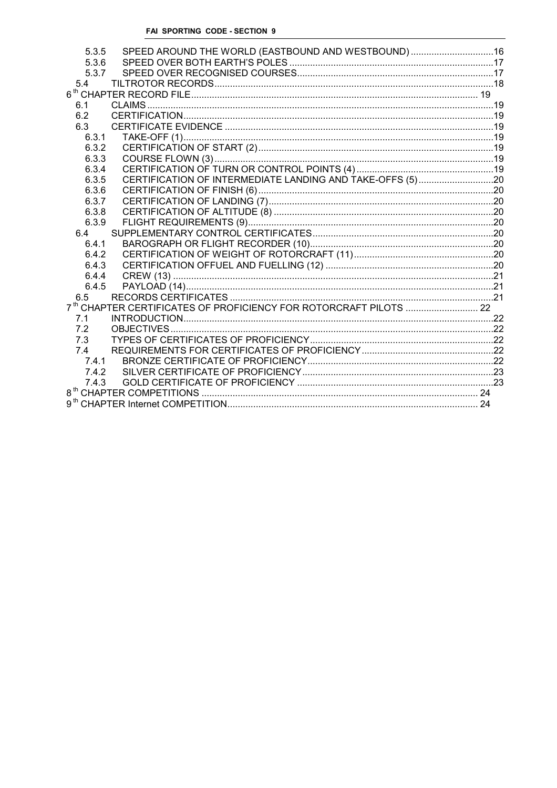| 5.3.5 | SPEED AROUND THE WORLD (EASTBOUND AND WESTBOUND)16 |  |
|-------|----------------------------------------------------|--|
| 5.3.6 |                                                    |  |
| 5.3.7 |                                                    |  |
| 5.4   |                                                    |  |
|       |                                                    |  |
| 6.1   |                                                    |  |
| 6.2   |                                                    |  |
| 6.3   |                                                    |  |
| 6.3.1 |                                                    |  |
| 6.3.2 |                                                    |  |
| 6.3.3 |                                                    |  |
| 6.3.4 |                                                    |  |
| 6.3.5 |                                                    |  |
| 6.3.6 |                                                    |  |
| 6.3.7 |                                                    |  |
| 6.3.8 |                                                    |  |
| 6.3.9 |                                                    |  |
| 6.4   |                                                    |  |
| 6.4.1 |                                                    |  |
| 6.4.2 |                                                    |  |
| 6.4.3 |                                                    |  |
| 6.4.4 |                                                    |  |
| 6.4.5 |                                                    |  |
| 6.5   |                                                    |  |
|       |                                                    |  |
| 7.1   |                                                    |  |
| 7.2   |                                                    |  |
| 7.3   |                                                    |  |
| 7.4   |                                                    |  |
| 7.4.1 |                                                    |  |
| 7.4.2 |                                                    |  |
| 7.4.3 |                                                    |  |
|       |                                                    |  |
|       |                                                    |  |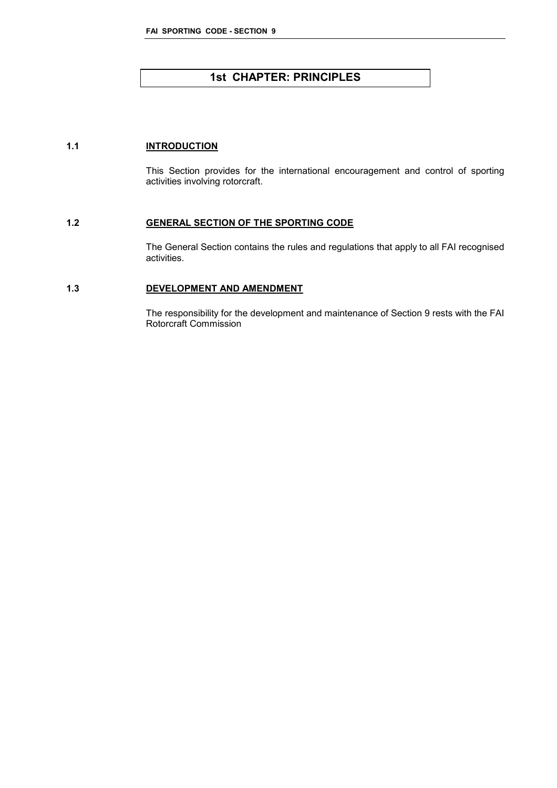# **1st CHAPTER: PRINCIPLES**

# **1.1 INTRODUCTION**

This Section provides for the international encouragement and control of sporting activities involving rotorcraft.

## **1.2 GENERAL SECTION OF THE SPORTING CODE**

The General Section contains the rules and regulations that apply to all FAI recognised activities.

## **1.3 DEVELOPMENT AND AMENDMENT**

The responsibility for the development and maintenance of Section 9 rests with the FAI Rotorcraft Commission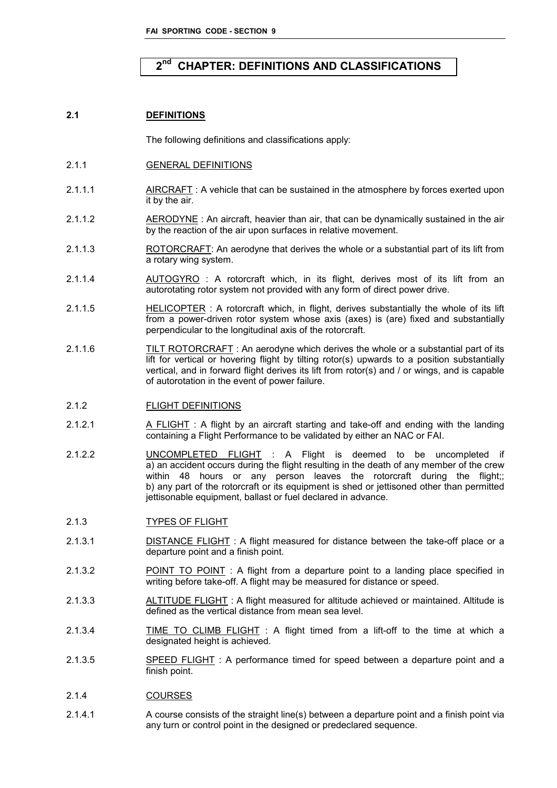#### 2<sup>nd</sup> **nd CHAPTER: DEFINITIONS AND CLASSIFICATIONS**

#### **2.1 DEFINITIONS**

The following definitions and classifications apply:

- 2.1.1 GENERAL DEFINITIONS
- 2.1.1.1 AIRCRAFT: A vehicle that can be sustained in the atmosphere by forces exerted upon it by the air.
- 2.1.1.2 AERODYNE : An aircraft, heavier than air, that can be dynamically sustained in the air by the reaction of the air upon surfaces in relative movement.
- 2.1.1.3 ROTORCRAFT: An aerodyne that derives the whole or a substantial part of its lift from a rotary wing system.
- 2.1.1.4 AUTOGYRO : A rotorcraft which, in its flight, derives most of its lift from an autorotating rotor system not provided with any form of direct power drive.
- 2.1.1.5 HELICOPTER : A rotorcraft which, in flight, derives substantially the whole of its lift from a power-driven rotor system whose axis (axes) is (are) fixed and substantially perpendicular to the longitudinal axis of the rotorcraft.
- 2.1.1.6 TILT ROTORCRAFT : An aerodyne which derives the whole or a substantial part of its lift for vertical or hovering flight by tilting rotor(s) upwards to a position substantially vertical, and in forward flight derives its lift from rotor(s) and / or wings, and is capable of autorotation in the event of power failure.

# 2.1.2 FLIGHT DEFINITIONS

- 2.1.2.1 A FLIGHT : A flight by an aircraft starting and take-off and ending with the landing containing a Flight Performance to be validated by either an NAC or FAI.
- 2.1.2.2 UNCOMPLETED FLIGHT : A Flight is deemed to be uncompleted if a) an accident occurs during the flight resulting in the death of any member of the crew within 48 hours or any person leaves the rotorcraft during the flight;; b) any part of the rotorcraft or its equipment is shed or jettisoned other than permitted jettisonable equipment, ballast or fuel declared in advance.

# 2.1.3 TYPES OF FLIGHT

- 2.1.3.1 **DISTANCE FLIGHT**: A flight measured for distance between the take-off place or a departure point and a finish point.
- 2.1.3.2 POINT TO POINT : A flight from a departure point to a landing place specified in writing before take-off. A flight may be measured for distance or speed.
- 2.1.3.3 ALTITUDE FLIGHT : A flight measured for altitude achieved or maintained. Altitude is defined as the vertical distance from mean sea level.
- 2.1.3.4 TIME TO CLIMB FLIGHT : A flight timed from a lift-off to the time at which a designated height is achieved.
- 2.1.3.5 SPEED FLIGHT : A performance timed for speed between a departure point and a finish point.

#### 2.1.4 COURSES

2.1.4.1 A course consists of the straight line(s) between a departure point and a finish point via any turn or control point in the designed or predeclared sequence.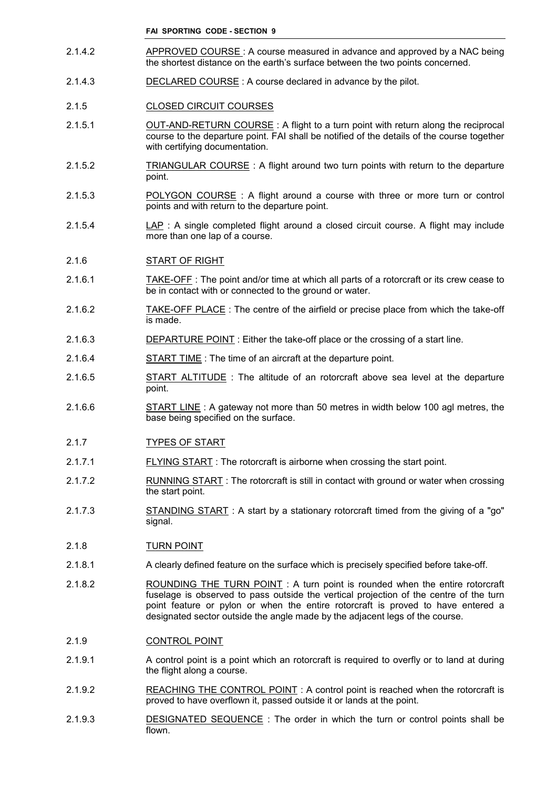- 2.1.4.2 APPROVED COURSE : A course measured in advance and approved by a NAC being the shortest distance on the earth's surface between the two points concerned.
- 2.1.4.3 DECLARED COURSE : A course declared in advance by the pilot.

#### 2.1.5 CLOSED CIRCUIT COURSES

- 2.1.5.1 OUT-AND-RETURN COURSE : A flight to a turn point with return along the reciprocal course to the departure point. FAI shall be notified of the details of the course together with certifying documentation.
- 2.1.5.2 TRIANGULAR COURSE: A flight around two turn points with return to the departure point.
- 2.1.5.3 POLYGON COURSE : A flight around a course with three or more turn or control points and with return to the departure point.
- 2.1.5.4 LAP : A single completed flight around a closed circuit course. A flight may include more than one lap of a course.

#### 2.1.6 START OF RIGHT

- 2.1.6.1 TAKE-OFF : The point and/or time at which all parts of a rotorcraft or its crew cease to be in contact with or connected to the ground or water.
- 2.1.6.2 TAKE-OFF PLACE : The centre of the airfield or precise place from which the take-off is made.
- 2.1.6.3 DEPARTURE POINT : Either the take-off place or the crossing of a start line.
- 2.1.6.4 START TIME : The time of an aircraft at the departure point.
- 2.1.6.5 START ALTITUDE : The altitude of an rotorcraft above sea level at the departure point.
- 2.1.6.6 START LINE : A gateway not more than 50 metres in width below 100 agl metres, the base being specified on the surface.
- 2.1.7 TYPES OF START
- 2.1.7.1 FLYING START : The rotorcraft is airborne when crossing the start point.
- 2.1.7.2 RUNNING START : The rotorcraft is still in contact with ground or water when crossing the start point.
- 2.1.7.3 STANDING START : A start by a stationary rotorcraft timed from the giving of a "go" signal.

#### 2.1.8 TURN POINT

- 2.1.8.1 A clearly defined feature on the surface which is precisely specified before take-off.
- 2.1.8.2 ROUNDING THE TURN POINT : A turn point is rounded when the entire rotorcraft fuselage is observed to pass outside the vertical projection of the centre of the turn point feature or pylon or when the entire rotorcraft is proved to have entered a designated sector outside the angle made by the adjacent legs of the course.

#### 2.1.9 CONTROL POINT

- 2.1.9.1 A control point is a point which an rotorcraft is required to overfly or to land at during the flight along a course.
- 2.1.9.2 REACHING THE CONTROL POINT: A control point is reached when the rotorcraft is proved to have overflown it, passed outside it or lands at the point.
- 2.1.9.3 DESIGNATED SEQUENCE : The order in which the turn or control points shall be flown.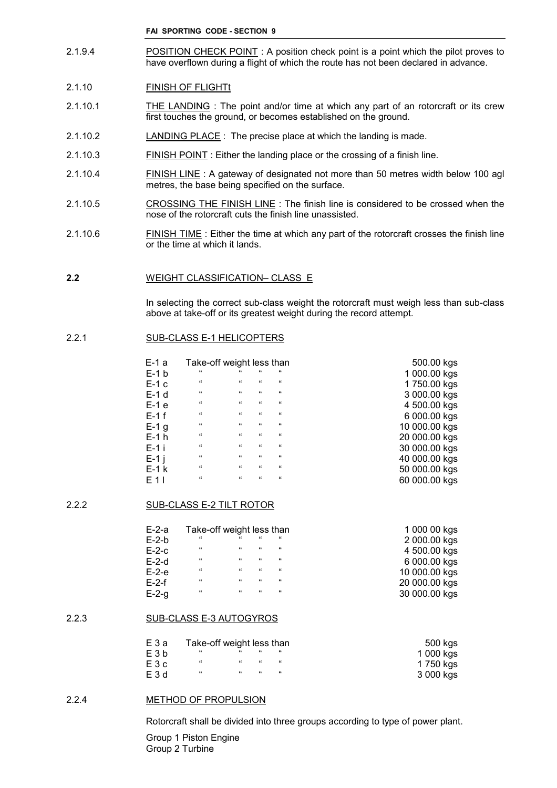2.1.9.4 POSITION CHECK POINT : A position check point is a point which the pilot proves to have overflown during a flight of which the route has not been declared in advance.

## 2.1.10 FINISH OF FLIGHT

- 2.1.10.1 THE LANDING : The point and/or time at which any part of an rotorcraft or its crew first touches the ground, or becomes established on the ground.
- 2.1.10.2 LANDING PLACE : The precise place at which the landing is made.
- 2.1.10.3 FINISH POINT : Either the landing place or the crossing of a finish line.
- 2.1.10.4 FINISH LINE : A gateway of designated not more than 50 metres width below 100 agl metres, the base being specified on the surface.
- 2.1.10.5 CROSSING THE FINISH LINE : The finish line is considered to be crossed when the nose of the rotorcraft cuts the finish line unassisted.
- 2.1.10.6 FINISH TIME : Either the time at which any part of the rotorcraft crosses the finish line or the time at which it lands.

#### **2.2** WEIGHT CLASSIFICATION– CLASS E

In selecting the correct sub-class weight the rotorcraft must weigh less than sub-class above at take-off or its greatest weight during the record attempt.

#### 2.2.1 SUB-CLASS E-1 HELICOPTERS

| $E-1a$  | Take-off weight less than |            |            |                    | 500.00 kgs    |
|---------|---------------------------|------------|------------|--------------------|---------------|
| $E-1 b$ | $^{16}$                   | "          | "          | $\epsilon\epsilon$ | 1 000.00 kgs  |
| E-1 c   | $^{16}$                   | 66         | $\epsilon$ | $\mathbf{G}$       | 1750.00 kgs   |
| E-1 d   | $^{16}$                   | 66         | $\epsilon$ | $\mathbf{G}$       | 3 000.00 kgs  |
| $E-1$ e | $\epsilon\epsilon$        | 66         | $\epsilon$ | $\mathbf{G}$       | 4 500.00 kgs  |
| $E-1$ f | $\epsilon\epsilon$        | $\epsilon$ | $\epsilon$ | $\mathbf{G}$       | 6 000.00 kgs  |
| $E-1$ g | $^{16}$                   | 66         | $\epsilon$ | $\mathbf{G}$       | 10 000.00 kgs |
| E-1 h   | $\epsilon\epsilon$        | $\epsilon$ | $\epsilon$ | $\epsilon$         | 20 000.00 kgs |
| $E-1$ i | $\mathbf{G}$              | 66         | $\epsilon$ | $\mathbf{G}$       | 30 000.00 kgs |
| $E-1$ i | $\epsilon\epsilon$        | 66         | $\epsilon$ | $\epsilon$         | 40 000.00 kgs |
| $E-1$ k | $\epsilon\epsilon$        | 66         | $^{16}$    | $\epsilon$         | 50 000.00 kgs |
| E 1 I   | $\epsilon\epsilon$        | 66         | $\epsilon$ | $\epsilon\epsilon$ | 60 000.00 kgs |

#### 2.2.2 SUB-CLASS E-2 TILT ROTOR

| $E-2-a$ | Take-off weight less than |            |            | 1 000 00 kgs |               |
|---------|---------------------------|------------|------------|--------------|---------------|
| $E-2-b$ | $^{16}$                   | "          | $\epsilon$ | $^{16}$      | 2 000.00 kgs  |
| $E-2-c$ | $\epsilon$                | 66         | $\epsilon$ | $^{16}$      | 4 500.00 kgs  |
| $E-2-d$ | $\epsilon$                | 66         | 66         | $\epsilon$   | 6 000.00 kgs  |
| $E-2-e$ | $\epsilon$                | $\epsilon$ | $\alpha$   | $\epsilon$   | 10 000.00 kgs |
| $E-2-f$ | $\epsilon$                | 66         | $\epsilon$ | $^{16}$      | 20 000.00 kgs |
| $E-2-g$ | $\epsilon$                | 66         | 66         | $^{16}$      | 30 000.00 kgs |

#### 2.2.3 SUB-CLASS E-3 AUTOGYROS

| EЗa   | Take-off weight less than |         |            | 500 kgs |           |
|-------|---------------------------|---------|------------|---------|-----------|
| E3b   |                           | $^{16}$ | $\epsilon$ |         | 1 000 kgs |
| E 3 c | "                         | $^{16}$ |            |         | 1 750 kgs |
| E3d   | "                         | "       | "          |         | 3 000 kgs |

#### 2.2.4 METHOD OF PROPULSION

Rotorcraft shall be divided into three groups according to type of power plant.

Group 1 Piston Engine Group 2 Turbine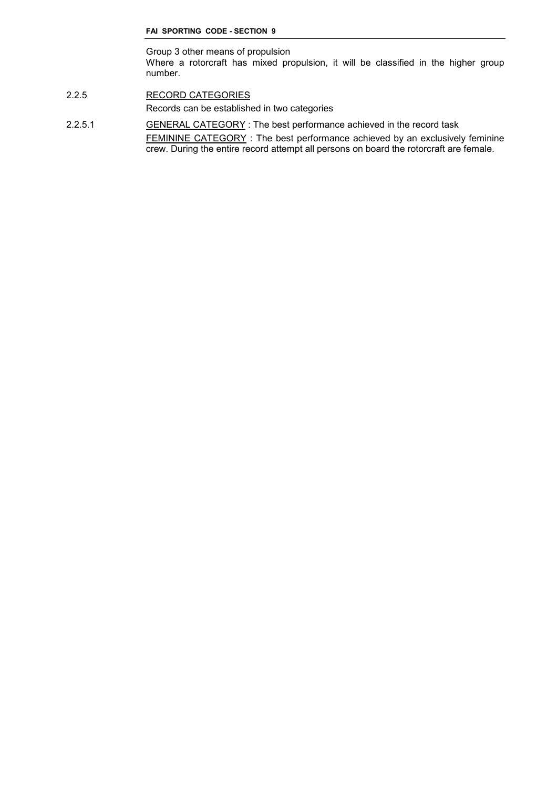Group 3 other means of propulsion Where a rotorcraft has mixed propulsion, it will be classified in the higher group number.

- 2.2.5 RECORD CATEGORIES Records can be established in two categories
- 2.2.5.1 **GENERAL CATEGORY** : The best performance achieved in the record task FEMININE CATEGORY : The best performance achieved by an exclusively feminine crew. During the entire record attempt all persons on board the rotorcraft are female.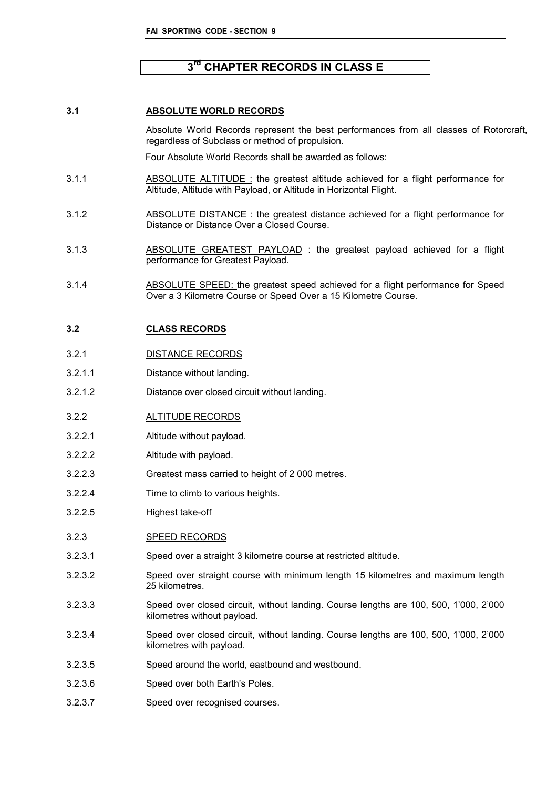# **3 rd CHAPTER RECORDS IN CLASS E**

## **3.1 ABSOLUTE WORLD RECORDS**

Absolute World Records represent the best performances from all classes of Rotorcraft, regardless of Subclass or method of propulsion.

Four Absolute World Records shall be awarded as follows:

- 3.1.1 ABSOLUTE ALTITUDE: the greatest altitude achieved for a flight performance for Altitude, Altitude with Payload, or Altitude in Horizontal Flight.
- 3.1.2 ABSOLUTE DISTANCE : the greatest distance achieved for a flight performance for Distance or Distance Over a Closed Course.
- 3.1.3 ABSOLUTE GREATEST PAYLOAD : the greatest payload achieved for a flight performance for Greatest Payload.
- 3.1.4 ABSOLUTE SPEED: the greatest speed achieved for a flight performance for Speed Over a 3 Kilometre Course or Speed Over a 15 Kilometre Course.

#### **3.2 CLASS RECORDS**

- 3.2.1 DISTANCE RECORDS
- 3.2.1.1 Distance without landing.
- 3.2.1.2 Distance over closed circuit without landing.
- 3.2.2 ALTITUDE RECORDS
- 3.2.2.1 Altitude without payload.
- 3.2.2.2 Altitude with payload.
- 3.2.2.3 Greatest mass carried to height of 2 000 metres.
- 3.2.2.4 Time to climb to various heights.
- 3.2.2.5 Highest take-off
- 3.2.3 SPEED RECORDS
- 3.2.3.1 Speed over a straight 3 kilometre course at restricted altitude.
- 3.2.3.2 Speed over straight course with minimum length 15 kilometres and maximum length 25 kilometres.
- 3.2.3.3 Speed over closed circuit, without landing. Course lengths are 100, 500, 1'000, 2'000 kilometres without payload.
- 3.2.3.4 Speed over closed circuit, without landing. Course lengths are 100, 500, 1'000, 2'000 kilometres with payload.
- 3.2.3.5 Speed around the world, eastbound and westbound.
- 3.2.3.6 Speed over both Earth's Poles.
- 3.2.3.7 Speed over recognised courses.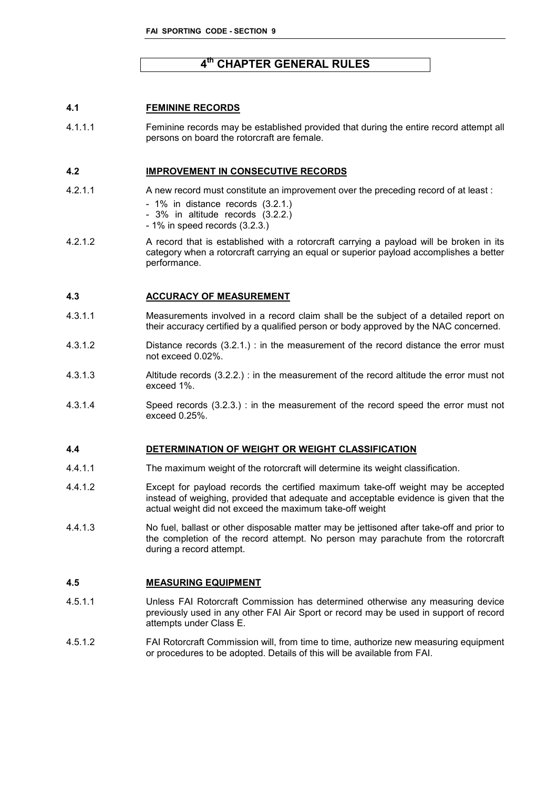# **4 th CHAPTER GENERAL RULES**

# **4.1 FEMININE RECORDS**

4.1.1.1 Feminine records may be established provided that during the entire record attempt all persons on board the rotorcraft are female.

#### **4.2 IMPROVEMENT IN CONSECUTIVE RECORDS**

- 4.2.1.1 A new record must constitute an improvement over the preceding record of at least :
	- 1% in distance records (3.2.1.)
	- 3% in altitude records (3.2.2.)
	- 1% in speed records (3.2.3.)
- 4.2.1.2 A record that is established with a rotorcraft carrying a payload will be broken in its category when a rotorcraft carrying an equal or superior payload accomplishes a better performance.

#### **4.3 ACCURACY OF MEASUREMENT**

- 4.3.1.1 Measurements involved in a record claim shall be the subject of a detailed report on their accuracy certified by a qualified person or body approved by the NAC concerned.
- 4.3.1.2 Distance records (3.2.1.) : in the measurement of the record distance the error must not exceed 0.02%.
- 4.3.1.3 Altitude records (3.2.2.) : in the measurement of the record altitude the error must not exceed 1%.
- 4.3.1.4 Speed records (3.2.3.) : in the measurement of the record speed the error must not exceed 0.25%.

#### **4.4 DETERMINATION OF WEIGHT OR WEIGHT CLASSIFICATION**

- 4.4.1.1 The maximum weight of the rotorcraft will determine its weight classification.
- 4.4.1.2 Except for payload records the certified maximum take-off weight may be accepted instead of weighing, provided that adequate and acceptable evidence is given that the actual weight did not exceed the maximum take-off weight
- 4.4.1.3 No fuel, ballast or other disposable matter may be jettisoned after take-off and prior to the completion of the record attempt. No person may parachute from the rotorcraft during a record attempt.

#### **4.5 MEASURING EQUIPMENT**

- 4.5.1.1 Unless FAI Rotorcraft Commission has determined otherwise any measuring device previously used in any other FAI Air Sport or record may be used in support of record attempts under Class E.
- 4.5.1.2 FAI Rotorcraft Commission will, from time to time, authorize new measuring equipment or procedures to be adopted. Details of this will be available from FAI.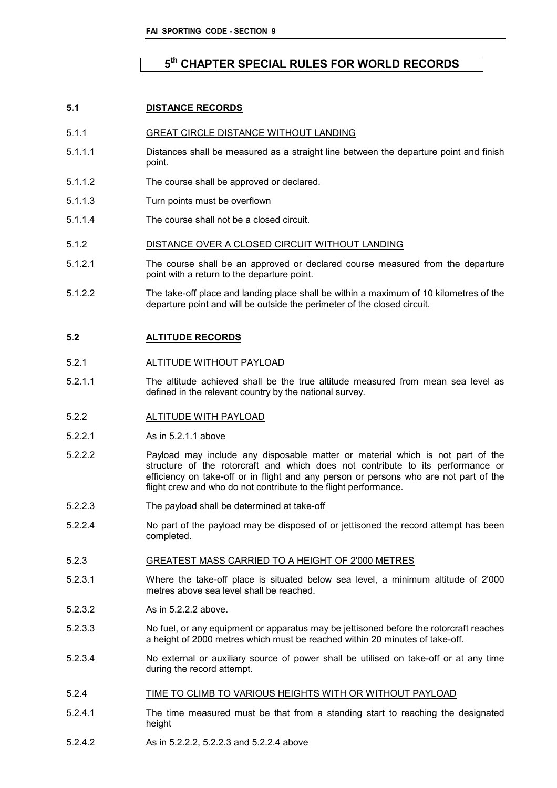# **5 th CHAPTER SPECIAL RULES FOR WORLD RECORDS**

## **5.1 DISTANCE RECORDS**

- 5.1.1 GREAT CIRCLE DISTANCE WITHOUT LANDING
- 5.1.1.1 Distances shall be measured as a straight line between the departure point and finish point.
- 5.1.1.2 The course shall be approved or declared.
- 5.1.1.3 Turn points must be overflown
- 5.1.1.4 The course shall not be a closed circuit.

#### 5.1.2 DISTANCE OVER A CLOSED CIRCUIT WITHOUT LANDING

- 5.1.2.1 The course shall be an approved or declared course measured from the departure point with a return to the departure point.
- 5.1.2.2 The take-off place and landing place shall be within a maximum of 10 kilometres of the departure point and will be outside the perimeter of the closed circuit.

#### **5.2 ALTITUDE RECORDS**

- 5.2.1 ALTITUDE WITHOUT PAYLOAD
- 5.2.1.1 The altitude achieved shall be the true altitude measured from mean sea level as defined in the relevant country by the national survey.

#### 5.2.2 ALTITUDE WITH PAYLOAD

- 5.2.2.1 As in 5.2.1.1 above
- 5.2.2.2 Payload may include any disposable matter or material which is not part of the structure of the rotorcraft and which does not contribute to its performance or efficiency on take-off or in flight and any person or persons who are not part of the flight crew and who do not contribute to the flight performance.
- 5.2.2.3 The payload shall be determined at take-off
- 5.2.2.4 No part of the payload may be disposed of or jettisoned the record attempt has been completed.

#### 5.2.3 GREATEST MASS CARRIED TO A HEIGHT OF 2'000 METRES

- 5.2.3.1 Where the take-off place is situated below sea level, a minimum altitude of 2'000 metres above sea level shall be reached.
- 5.2.3.2 As in 5.2.2.2 above.
- 5.2.3.3 No fuel, or any equipment or apparatus may be jettisoned before the rotorcraft reaches a height of 2000 metres which must be reached within 20 minutes of take-off.
- 5.2.3.4 No external or auxiliary source of power shall be utilised on take-off or at any time during the record attempt.
- 5.2.4 TIME TO CLIMB TO VARIOUS HEIGHTS WITH OR WITHOUT PAYLOAD
- 5.2.4.1 The time measured must be that from a standing start to reaching the designated height
- 5.2.4.2 As in 5.2.2.2, 5.2.2.3 and 5.2.2.4 above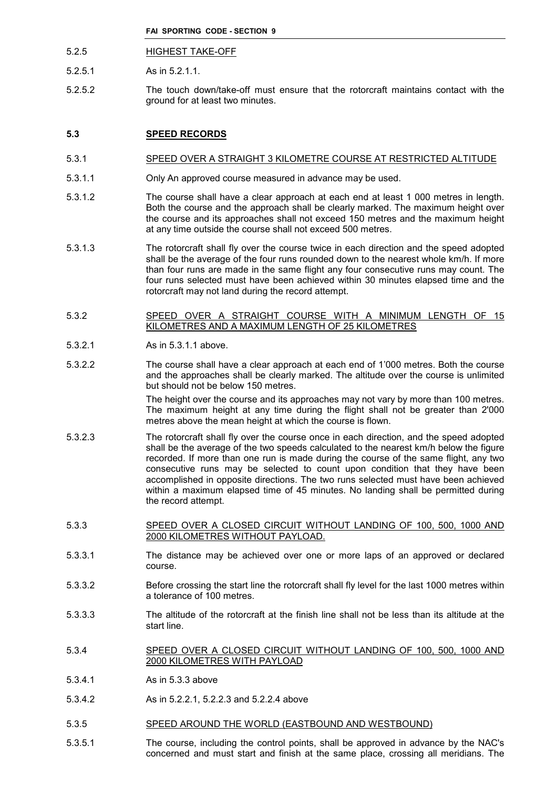- 5.2.5 HIGHEST TAKE-OFF
- 5.2.5.1 As in 5.2.1.1.
- 5.2.5.2 The touch down/take-off must ensure that the rotorcraft maintains contact with the ground for at least two minutes.

# **5.3 SPEED RECORDS**

#### 5.3.1 SPEED OVER A STRAIGHT 3 KILOMETRE COURSE AT RESTRICTED ALTITUDE

- 5.3.1.1 Only An approved course measured in advance may be used.
- 5.3.1.2 The course shall have a clear approach at each end at least 1 000 metres in length. Both the course and the approach shall be clearly marked. The maximum height over the course and its approaches shall not exceed 150 metres and the maximum height at any time outside the course shall not exceed 500 metres.
- 5.3.1.3 The rotorcraft shall fly over the course twice in each direction and the speed adopted shall be the average of the four runs rounded down to the nearest whole km/h. If more than four runs are made in the same flight any four consecutive runs may count. The four runs selected must have been achieved within 30 minutes elapsed time and the rotorcraft may not land during the record attempt.

#### 5.3.2 SPEED OVER A STRAIGHT COURSE WITH A MINIMUM LENGTH OF 15 KILOMETRES AND A MAXIMUM LENGTH OF 25 KILOMETRES

- 5.3.2.1 As in 5.3.1.1 above.
- 5.3.2.2 The course shall have a clear approach at each end of 1'000 metres. Both the course and the approaches shall be clearly marked. The altitude over the course is unlimited but should not be below 150 metres.

The height over the course and its approaches may not vary by more than 100 metres. The maximum height at any time during the flight shall not be greater than 2'000 metres above the mean height at which the course is flown.

- 5.3.2.3 The rotorcraft shall fly over the course once in each direction, and the speed adopted shall be the average of the two speeds calculated to the nearest km/h below the figure recorded. If more than one run is made during the course of the same flight, any two consecutive runs may be selected to count upon condition that they have been accomplished in opposite directions. The two runs selected must have been achieved within a maximum elapsed time of 45 minutes. No landing shall be permitted during the record attempt.
- 5.3.3 SPEED OVER A CLOSED CIRCUIT WITHOUT LANDING OF 100, 500, 1000 AND 2000 KILOMETRES WITHOUT PAYLOAD.
- 5.3.3.1 The distance may be achieved over one or more laps of an approved or declared course.
- 5.3.3.2 Before crossing the start line the rotorcraft shall fly level for the last 1000 metres within a tolerance of 100 metres.
- 5.3.3.3 The altitude of the rotorcraft at the finish line shall not be less than its altitude at the start line.
- 5.3.4 SPEED OVER A CLOSED CIRCUIT WITHOUT LANDING OF 100, 500, 1000 AND 2000 KILOMETRES WITH PAYLOAD
- 5.3.4.1 As in 5.3.3 above
- 5.3.4.2 As in 5.2.2.1, 5.2.2.3 and 5.2.2.4 above
- 5.3.5 SPEED AROUND THE WORLD (EASTBOUND AND WESTBOUND)
- 5.3.5.1 The course, including the control points, shall be approved in advance by the NAC's concerned and must start and finish at the same place, crossing all meridians. The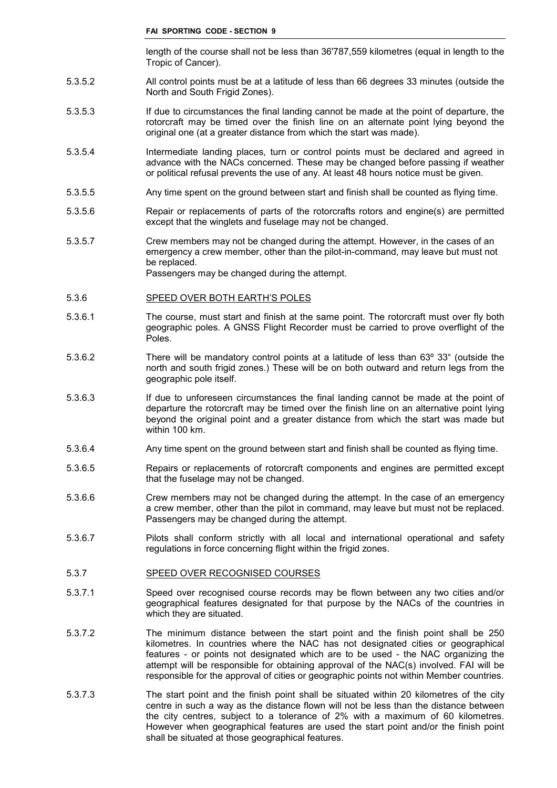length of the course shall not be less than 36'787,559 kilometres (equal in length to the Tropic of Cancer).

- 5.3.5.2 All control points must be at a latitude of less than 66 degrees 33 minutes (outside the North and South Frigid Zones).
- 5.3.5.3 If due to circumstances the final landing cannot be made at the point of departure, the rotorcraft may be timed over the finish line on an alternate point lying beyond the original one (at a greater distance from which the start was made).
- 5.3.5.4 Intermediate landing places, turn or control points must be declared and agreed in advance with the NACs concerned. These may be changed before passing if weather or political refusal prevents the use of any. At least 48 hours notice must be given.
- 5.3.5.5 Any time spent on the ground between start and finish shall be counted as flying time.
- 5.3.5.6 Repair or replacements of parts of the rotorcrafts rotors and engine(s) are permitted except that the winglets and fuselage may not be changed.
- 5.3.5.7 Crew members may not be changed during the attempt. However, in the cases of an emergency a crew member, other than the pilot-in-command, may leave but must not be replaced. Passengers may be changed during the attempt.

#### 5.3.6 SPEED OVER BOTH EARTH'S POLES

- 5.3.6.1 The course, must start and finish at the same point. The rotorcraft must over fly both geographic poles. A GNSS Flight Recorder must be carried to prove overflight of the Poles.
- 5.3.6.2 There will be mandatory control points at a latitude of less than 63º 33" (outside the north and south frigid zones.) These will be on both outward and return legs from the geographic pole itself.
- 5.3.6.3 If due to unforeseen circumstances the final landing cannot be made at the point of departure the rotorcraft may be timed over the finish line on an alternative point lying beyond the original point and a greater distance from which the start was made but within 100 km.
- 5.3.6.4 Any time spent on the ground between start and finish shall be counted as flying time.
- 5.3.6.5 Repairs or replacements of rotorcraft components and engines are permitted except that the fuselage may not be changed.
- 5.3.6.6 Crew members may not be changed during the attempt. In the case of an emergency a crew member, other than the pilot in command, may leave but must not be replaced. Passengers may be changed during the attempt.
- 5.3.6.7 Pilots shall conform strictly with all local and international operational and safety regulations in force concerning flight within the frigid zones.

#### 5.3.7 SPEED OVER RECOGNISED COURSES

- 5.3.7.1 Speed over recognised course records may be flown between any two cities and/or geographical features designated for that purpose by the NACs of the countries in which they are situated.
- 5.3.7.2 The minimum distance between the start point and the finish point shall be 250 kilometres. In countries where the NAC has not designated cities or geographical features - or points not designated which are to be used - the NAC organizing the attempt will be responsible for obtaining approval of the NAC(s) involved. FAI will be responsible for the approval of cities or geographic points not within Member countries.
- 5.3.7.3 The start point and the finish point shall be situated within 20 kilometres of the city centre in such a way as the distance flown will not be less than the distance between the city centres, subject to a tolerance of 2% with a maximum of 60 kilometres. However when geographical features are used the start point and/or the finish point shall be situated at those geographical features.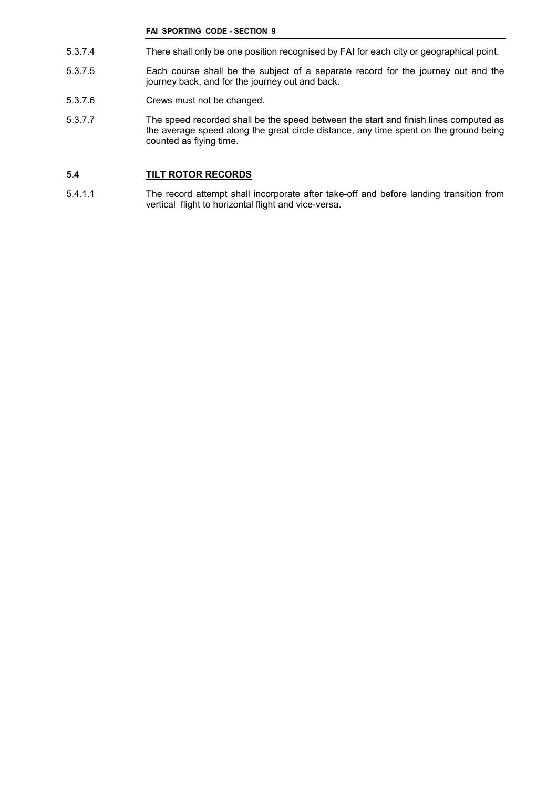- 5.3.7.4 There shall only be one position recognised by FAI for each city or geographical point.
- 5.3.7.5 Each course shall be the subject of a separate record for the journey out and the journey back, and for the journey out and back.
- 5.3.7.6 Crews must not be changed.
- 5.3.7.7 The speed recorded shall be the speed between the start and finish lines computed as the average speed along the great circle distance, any time spent on the ground being counted as flying time.

# **5.4 TILT ROTOR RECORDS**

5.4.1.1 The record attempt shall incorporate after take-off and before landing transition from vertical flight to horizontal flight and vice-versa.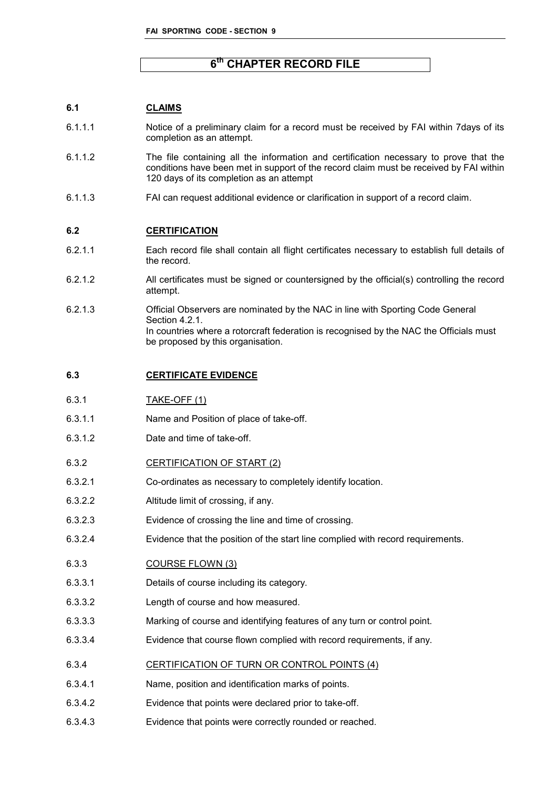# **6 th CHAPTER RECORD FILE**

# **6.1 CLAIMS**

- 6.1.1.1 Notice of a preliminary claim for a record must be received by FAI within 7days of its completion as an attempt.
- 6.1.1.2 The file containing all the information and certification necessary to prove that the conditions have been met in support of the record claim must be received by FAI within 120 days of its completion as an attempt
- 6.1.1.3 FAI can request additional evidence or clarification in support of a record claim.

#### **6.2 CERTIFICATION**

- 6.2.1.1 Each record file shall contain all flight certificates necessary to establish full details of the record.
- 6.2.1.2 All certificates must be signed or countersigned by the official(s) controlling the record attempt.
- 6.2.1.3 Official Observers are nominated by the NAC in line with Sporting Code General Section 4.2.1. In countries where a rotorcraft federation is recognised by the NAC the Officials must be proposed by this organisation.

# **6.3 CERTIFICATE EVIDENCE**

- 6.3.1.1 Name and Position of place of take-off.
- 6.3.1.2 Date and time of take-off.
- 6.3.2 CERTIFICATION OF START (2)
- 6.3.2.1 Co-ordinates as necessary to completely identify location.
- 6.3.2.2 Altitude limit of crossing, if any.
- 6.3.2.3 Evidence of crossing the line and time of crossing.
- 6.3.2.4 Evidence that the position of the start line complied with record requirements.

# 6.3.3 COURSE FLOWN (3)

- 6.3.3.1 Details of course including its category.
- 6.3.3.2 Length of course and how measured.
- 6.3.3.3 Marking of course and identifying features of any turn or control point.
- 6.3.3.4 Evidence that course flown complied with record requirements, if any.
- 6.3.4 CERTIFICATION OF TURN OR CONTROL POINTS (4)
- 6.3.4.1 Name, position and identification marks of points.
- 6.3.4.2 Evidence that points were declared prior to take-off.
- 6.3.4.3 Evidence that points were correctly rounded or reached.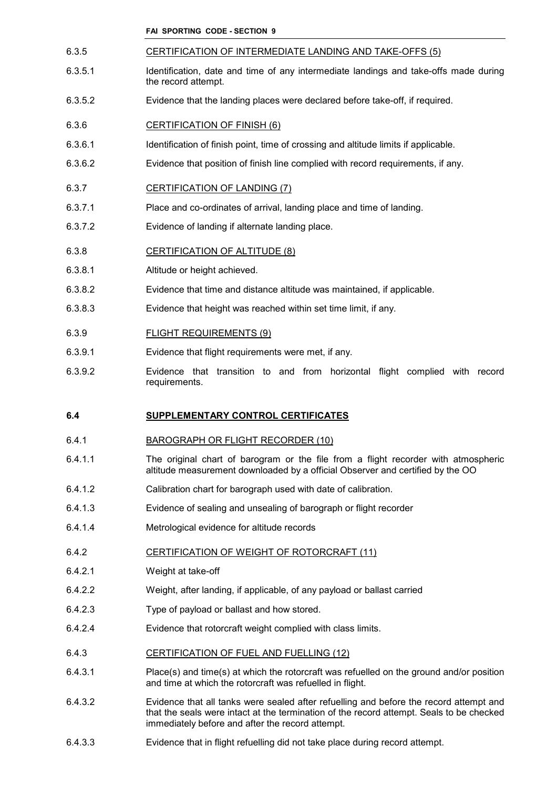- 6.3.5 CERTIFICATION OF INTERMEDIATE LANDING AND TAKE-OFFS (5)
- 6.3.5.1 Identification, date and time of any intermediate landings and take-offs made during the record attempt.
- 6.3.5.2 Evidence that the landing places were declared before take-off, if required.
- 6.3.6 CERTIFICATION OF FINISH (6)
- 6.3.6.1 Identification of finish point, time of crossing and altitude limits if applicable.
- 6.3.6.2 Evidence that position of finish line complied with record requirements, if any.
- 6.3.7 CERTIFICATION OF LANDING (7)
- 6.3.7.1 Place and co-ordinates of arrival, landing place and time of landing.
- 6.3.7.2 Evidence of landing if alternate landing place.
- 6.3.8 CERTIFICATION OF ALTITUDE (8)
- 6.3.8.1 Altitude or height achieved.
- 6.3.8.2 Evidence that time and distance altitude was maintained, if applicable.
- 6.3.8.3 Evidence that height was reached within set time limit, if any.
- 6.3.9 FLIGHT REQUIREMENTS (9)
- 6.3.9.1 Evidence that flight requirements were met, if any.
- 6.3.9.2 Evidence that transition to and from horizontal flight complied with record requirements.

# **6.4 SUPPLEMENTARY CONTROL CERTIFICATES**

# 6.4.1 BAROGRAPH OR FLIGHT RECORDER (10)

- 6.4.1.1 The original chart of barogram or the file from a flight recorder with atmospheric altitude measurement downloaded by a official Observer and certified by the OO
- 6.4.1.2 Calibration chart for barograph used with date of calibration.
- 6.4.1.3 Evidence of sealing and unsealing of barograph or flight recorder
- 6.4.1.4 Metrological evidence for altitude records

#### 6.4.2 CERTIFICATION OF WEIGHT OF ROTORCRAFT (11)

- 6.4.2.1 Weight at take-off
- 6.4.2.2 Weight, after landing, if applicable, of any payload or ballast carried
- 6.4.2.3 Type of payload or ballast and how stored.
- 6.4.2.4 Evidence that rotorcraft weight complied with class limits.
- 6.4.3 CERTIFICATION OF FUEL AND FUELLING (12)
- 6.4.3.1 Place(s) and time(s) at which the rotorcraft was refuelled on the ground and/or position and time at which the rotorcraft was refuelled in flight.
- 6.4.3.2 Evidence that all tanks were sealed after refuelling and before the record attempt and that the seals were intact at the termination of the record attempt. Seals to be checked immediately before and after the record attempt.
- 6.4.3.3 Evidence that in flight refuelling did not take place during record attempt.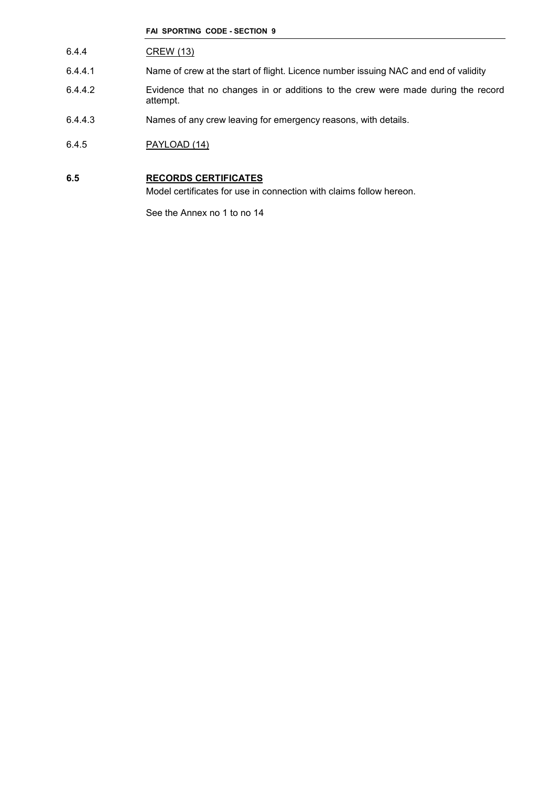- 6.4.4 CREW (13)
- 6.4.4.1 Name of crew at the start of flight. Licence number issuing NAC and end of validity
- 6.4.4.2 Evidence that no changes in or additions to the crew were made during the record attempt.
- 6.4.4.3 Names of any crew leaving for emergency reasons, with details.
- 6.4.5 PAYLOAD (14)

# **6.5 RECORDS CERTIFICATES**

Model certificates for use in connection with claims follow hereon.

See the Annex no 1 to no 14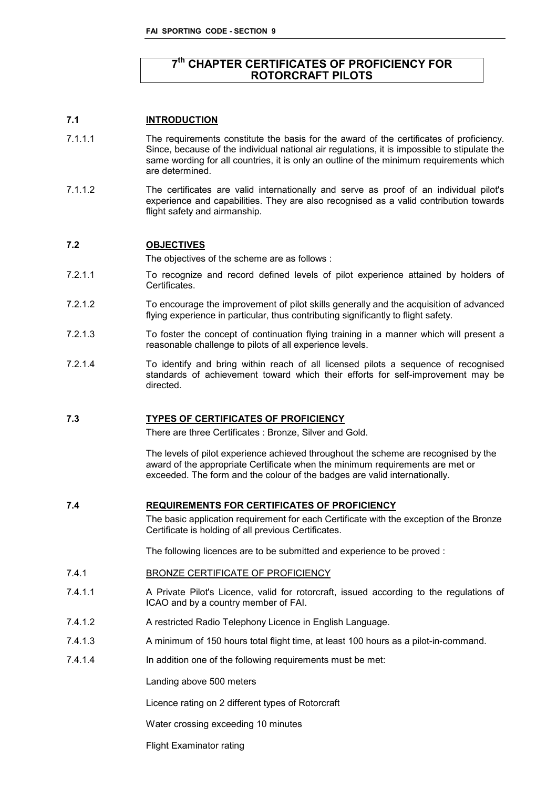# **7 th CHAPTER CERTIFICATES OF PROFICIENCY FOR ROTORCRAFT PILOTS**

# **7.1 INTRODUCTION**

- 7.1.1.1 The requirements constitute the basis for the award of the certificates of proficiency. Since, because of the individual national air regulations, it is impossible to stipulate the same wording for all countries, it is only an outline of the minimum requirements which are determined.
- 7.1.1.2 The certificates are valid internationally and serve as proof of an individual pilot's experience and capabilities. They are also recognised as a valid contribution towards flight safety and airmanship.

# **7.2 OBJECTIVES**

The objectives of the scheme are as follows :

- 7.2.1.1 To recognize and record defined levels of pilot experience attained by holders of Certificates.
- 7.2.1.2 To encourage the improvement of pilot skills generally and the acquisition of advanced flying experience in particular, thus contributing significantly to flight safety.
- 7.2.1.3 To foster the concept of continuation flying training in a manner which will present a reasonable challenge to pilots of all experience levels.
- 7.2.1.4 To identify and bring within reach of all licensed pilots a sequence of recognised standards of achievement toward which their efforts for self-improvement may be directed.

# **7.3 TYPES OF CERTIFICATES OF PROFICIENCY**

There are three Certificates : Bronze, Silver and Gold.

The levels of pilot experience achieved throughout the scheme are recognised by the award of the appropriate Certificate when the minimum requirements are met or exceeded. The form and the colour of the badges are valid internationally.

**7.4 REQUIREMENTS FOR CERTIFICATES OF PROFICIENCY**

The basic application requirement for each Certificate with the exception of the Bronze Certificate is holding of all previous Certificates.

The following licences are to be submitted and experience to be proved :

- 7.4.1 BRONZE CERTIFICATE OF PROFICIENCY
- 7.4.1.1 A Private Pilot's Licence, valid for rotorcraft, issued according to the regulations of ICAO and by a country member of FAI.
- 7.4.1.2 A restricted Radio Telephony Licence in English Language.
- 7.4.1.3 A minimum of 150 hours total flight time, at least 100 hours as a pilot-in-command.
- 7.4.1.4 In addition one of the following requirements must be met:

Landing above 500 meters

Licence rating on 2 different types of Rotorcraft

Water crossing exceeding 10 minutes

Flight Examinator rating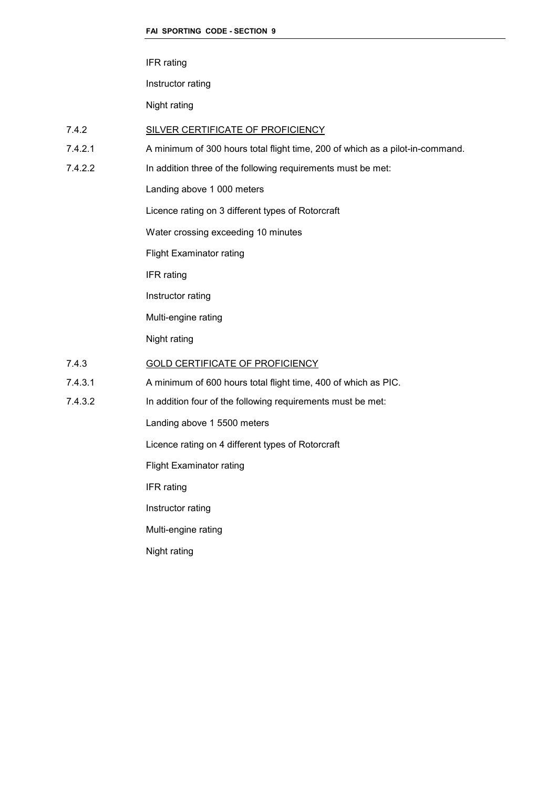IFR rating

Instructor rating

Night rating

# 7.4.2 SILVER CERTIFICATE OF PROFICIENCY

- 7.4.2.1 A minimum of 300 hours total flight time, 200 of which as a pilot-in-command.
- 7.4.2.2 In addition three of the following requirements must be met:

Landing above 1 000 meters

Licence rating on 3 different types of Rotorcraft

Water crossing exceeding 10 minutes

Flight Examinator rating

IFR rating

Instructor rating

Multi-engine rating

Night rating

# 7.4.3 GOLD CERTIFICATE OF PROFICIENCY

7.4.3.1 A minimum of 600 hours total flight time, 400 of which as PIC.

7.4.3.2 In addition four of the following requirements must be met:

Landing above 1 5500 meters

Licence rating on 4 different types of Rotorcraft

Flight Examinator rating

IFR rating

Instructor rating

Multi-engine rating

Night rating